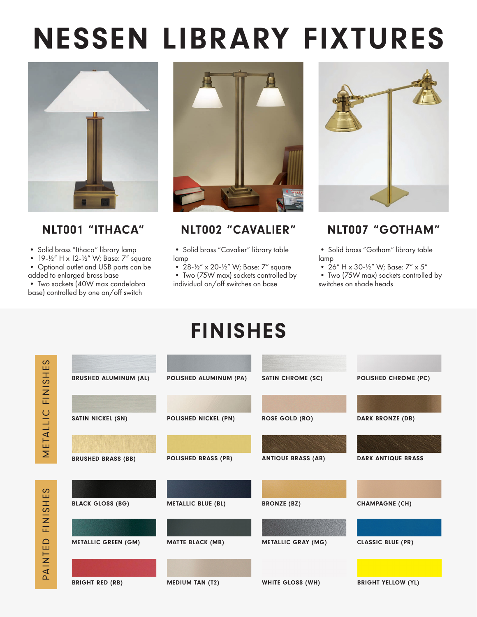# NESSEN LIBRARY FIXTURES



• Solid brass "Ithaca" library lamp

• 19-½" H x 12-½" W; Base: 7" square

• Optional outlet and USB ports can be added to enlarged brass base

• Two sockets (40W max candelabra base) controlled by one on/off switch

METALLIC FINISHES

METALLIC FINISHES

PAINTED FINISHES

PAINTED FINISHES



### NLT001 "ITHACA" NLT002 "CAVALIER" NLT007 "GOTHAM"

• Solid brass "Cavalier" library table lamp

- 28-½" x 20-½" W; Base: 7" square • Two (75W max) sockets controlled by
- individual on/off switches on base



• Solid brass "Gotham" library table lamp

- 26" H x 30-½" W; Base: 7" x 5"
- Two (75W max) sockets controlled by switches on shade heads

## FINISHES

| BRUSHED ALUMINUM (AL)      | POLISHED ALUMINUM (PA)     | <b>SATIN CHROME (SC)</b>  | POLISHED CHROME (PC)      |
|----------------------------|----------------------------|---------------------------|---------------------------|
|                            |                            |                           |                           |
| <b>SATIN NICKEL (SN)</b>   | POLISHED NICKEL (PN)       | <b>ROSE GOLD (RO)</b>     | <b>DARK BRONZE (DB)</b>   |
|                            |                            |                           |                           |
| <b>BRUSHED BRASS (BB)</b>  | <b>POLISHED BRASS (PB)</b> | <b>ANTIQUE BRASS (AB)</b> | <b>DARK ANTIQUE BRASS</b> |
|                            |                            |                           |                           |
|                            |                            |                           |                           |
| <b>BLACK GLOSS (BG)</b>    | <b>METALLIC BLUE (BL)</b>  | <b>BRONZE (BZ)</b>        | <b>CHAMPAGNE (CH)</b>     |
|                            |                            |                           |                           |
| <b>METALLIC GREEN (GM)</b> | <b>MATTE BLACK (MB)</b>    | <b>METALLIC GRAY (MG)</b> | <b>CLASSIC BLUE (PR)</b>  |
|                            |                            |                           |                           |
|                            |                            |                           |                           |
| <b>BRIGHT RED (RB)</b>     | <b>MEDIUM TAN (T2)</b>     | WHITE GLOSS (WH)          | <b>BRIGHT YELLOW (YL)</b> |